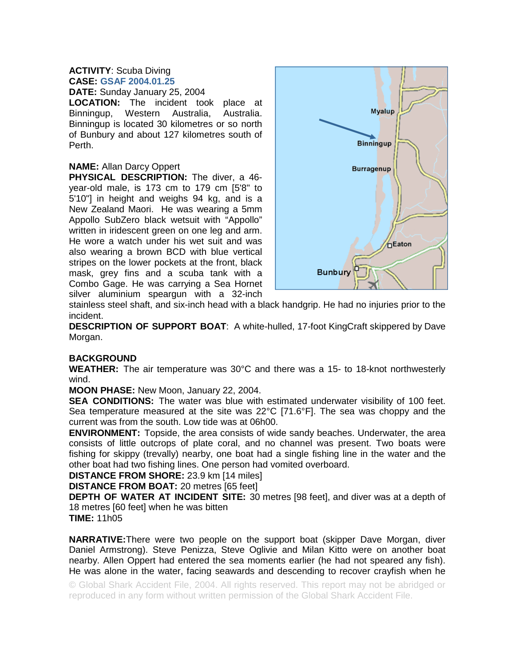## **ACTIVITY**: Scuba Diving **CASE: GSAF 2004.01.25**

**DATE:** Sunday January 25, 2004

**LOCATION:** The incident took place at Binningup, Western Australia, Australia. Binningup is located 30 kilometres or so north of Bunbury and about 127 kilometres south of Perth.

## **NAME:** Allan Darcy Oppert

**PHYSICAL DESCRIPTION:** The diver, a 46 year-old male, is 173 cm to 179 cm [5'8" to 5'10"] in height and weighs 94 kg, and is a New Zealand Maori. He was wearing a 5mm Appollo SubZero black wetsuit with "Appollo" written in iridescent green on one leg and arm. He wore a watch under his wet suit and was also wearing a brown BCD with blue vertical stripes on the lower pockets at the front, black mask, grey fins and a scuba tank with a Combo Gage. He was carrying a Sea Hornet silver aluminium speargun with a 32-inch



stainless steel shaft, and six-inch head with a black handgrip. He had no injuries prior to the incident.

**DESCRIPTION OF SUPPORT BOAT**: A white-hulled, 17-foot KingCraft skippered by Dave Morgan.

## **BACKGROUND**

**WEATHER:** The air temperature was 30°C and there was a 15- to 18-knot northwesterly wind.

**MOON PHASE:** New Moon, January 22, 2004.

**SEA CONDITIONS:** The water was blue with estimated underwater visibility of 100 feet. Sea temperature measured at the site was 22°C [71.6°F]. The sea was choppy and the current was from the south. Low tide was at 06h00.

**ENVIRONMENT:** Topside, the area consists of wide sandy beaches. Underwater, the area consists of little outcrops of plate coral, and no channel was present. Two boats were fishing for skippy (trevally) nearby, one boat had a single fishing line in the water and the other boat had two fishing lines. One person had vomited overboard.

**DISTANCE FROM SHORE:** 23.9 km [14 miles]

**DISTANCE FROM BOAT:** 20 metres [65 feet]

**DEPTH OF WATER AT INCIDENT SITE:** 30 metres [98 feet], and diver was at a depth of 18 metres [60 feet] when he was bitten

**TIME:** 11h05

**NARRATIVE:**There were two people on the support boat (skipper Dave Morgan, diver Daniel Armstrong). Steve Penizza, Steve Oglivie and Milan Kitto were on another boat nearby. Allen Oppert had entered the sea moments earlier (he had not speared any fish). He was alone in the water, facing seawards and descending to recover crayfish when he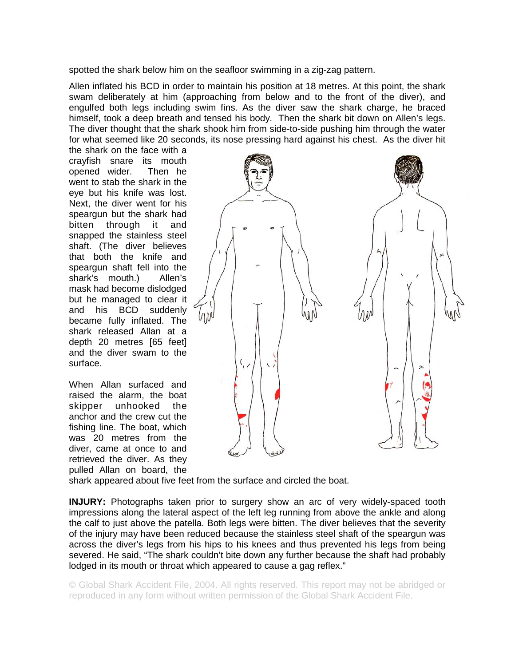spotted the shark below him on the seafloor swimming in a zig-zag pattern.

Allen inflated his BCD in order to maintain his position at 18 metres. At this point, the shark swam deliberately at him (approaching from below and to the front of the diver), and engulfed both legs including swim fins. As the diver saw the shark charge, he braced himself, took a deep breath and tensed his body. Then the shark bit down on Allen's legs. The diver thought that the shark shook him from side-to-side pushing him through the water for what seemed like 20 seconds, its nose pressing hard against his chest. As the diver hit

the shark on the face with a crayfish snare its mouth opened wider. Then he went to stab the shark in the eye but his knife was lost. Next, the diver went for his speargun but the shark had bitten through it and snapped the stainless steel shaft. (The diver believes that both the knife and speargun shaft fell into the shark's mouth.) Allen's mask had become dislodged but he managed to clear it and his BCD suddenly became fully inflated. The shark released Allan at a depth 20 metres [65 feet] and the diver swam to the surface.

When Allan surfaced and raised the alarm, the boat skipper unhooked the anchor and the crew cut the fishing line. The boat, which was 20 metres from the diver, came at once to and retrieved the diver. As they pulled Allan on board, the



shark appeared about five feet from the surface and circled the boat.

**INJURY:** Photographs taken prior to surgery show an arc of very widely-spaced tooth impressions along the lateral aspect of the left leg running from above the ankle and along the calf to just above the patella. Both legs were bitten. The diver believes that the severity of the injury may have been reduced because the stainless steel shaft of the speargun was across the diver's legs from his hips to his knees and thus prevented his legs from being severed. He said, "The shark couldn't bite down any further because the shaft had probably lodged in its mouth or throat which appeared to cause a gag reflex."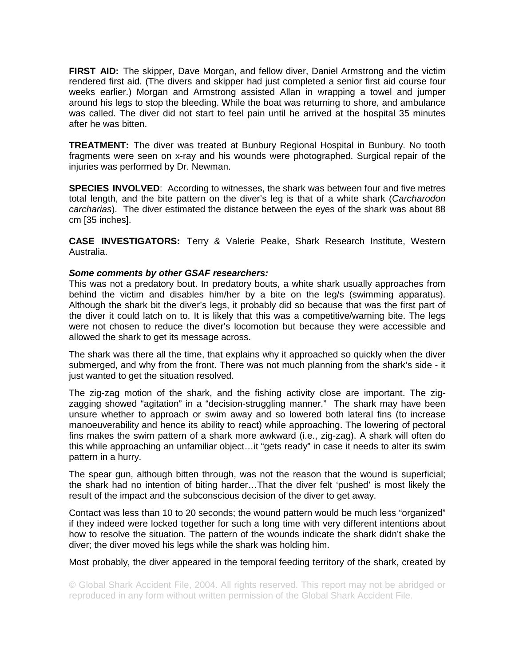**FIRST AID:** The skipper, Dave Morgan, and fellow diver, Daniel Armstrong and the victim rendered first aid. (The divers and skipper had just completed a senior first aid course four weeks earlier.) Morgan and Armstrong assisted Allan in wrapping a towel and jumper around his legs to stop the bleeding. While the boat was returning to shore, and ambulance was called. The diver did not start to feel pain until he arrived at the hospital 35 minutes after he was bitten.

**TREATMENT:** The diver was treated at Bunbury Regional Hospital in Bunbury. No tooth fragments were seen on x-ray and his wounds were photographed. Surgical repair of the injuries was performed by Dr. Newman.

**SPECIES INVOLVED**: According to witnesses, the shark was between four and five metres total length, and the bite pattern on the diver's leg is that of a white shark (*Carcharodon carcharias*). The diver estimated the distance between the eyes of the shark was about 88 cm [35 inches].

**CASE INVESTIGATORS:** Terry & Valerie Peake, Shark Research Institute, Western Australia.

## *Some comments by other GSAF researchers:*

This was not a predatory bout. In predatory bouts, a white shark usually approaches from behind the victim and disables him/her by a bite on the leg/s (swimming apparatus). Although the shark bit the diver's legs, it probably did so because that was the first part of the diver it could latch on to. It is likely that this was a competitive/warning bite. The legs were not chosen to reduce the diver's locomotion but because they were accessible and allowed the shark to get its message across.

The shark was there all the time, that explains why it approached so quickly when the diver submerged, and why from the front. There was not much planning from the shark's side - it just wanted to get the situation resolved.

The zig-zag motion of the shark, and the fishing activity close are important. The zigzagging showed "agitation" in a "decision-struggling manner." The shark may have been unsure whether to approach or swim away and so lowered both lateral fins (to increase manoeuverability and hence its ability to react) while approaching. The lowering of pectoral fins makes the swim pattern of a shark more awkward (i.e., zig-zag). A shark will often do this while approaching an unfamiliar object…it "gets ready" in case it needs to alter its swim pattern in a hurry.

The spear gun, although bitten through, was not the reason that the wound is superficial; the shark had no intention of biting harder…That the diver felt 'pushed' is most likely the result of the impact and the subconscious decision of the diver to get away.

Contact was less than 10 to 20 seconds; the wound pattern would be much less "organized" if they indeed were locked together for such a long time with very different intentions about how to resolve the situation. The pattern of the wounds indicate the shark didn't shake the diver; the diver moved his legs while the shark was holding him.

Most probably, the diver appeared in the temporal feeding territory of the shark, created by